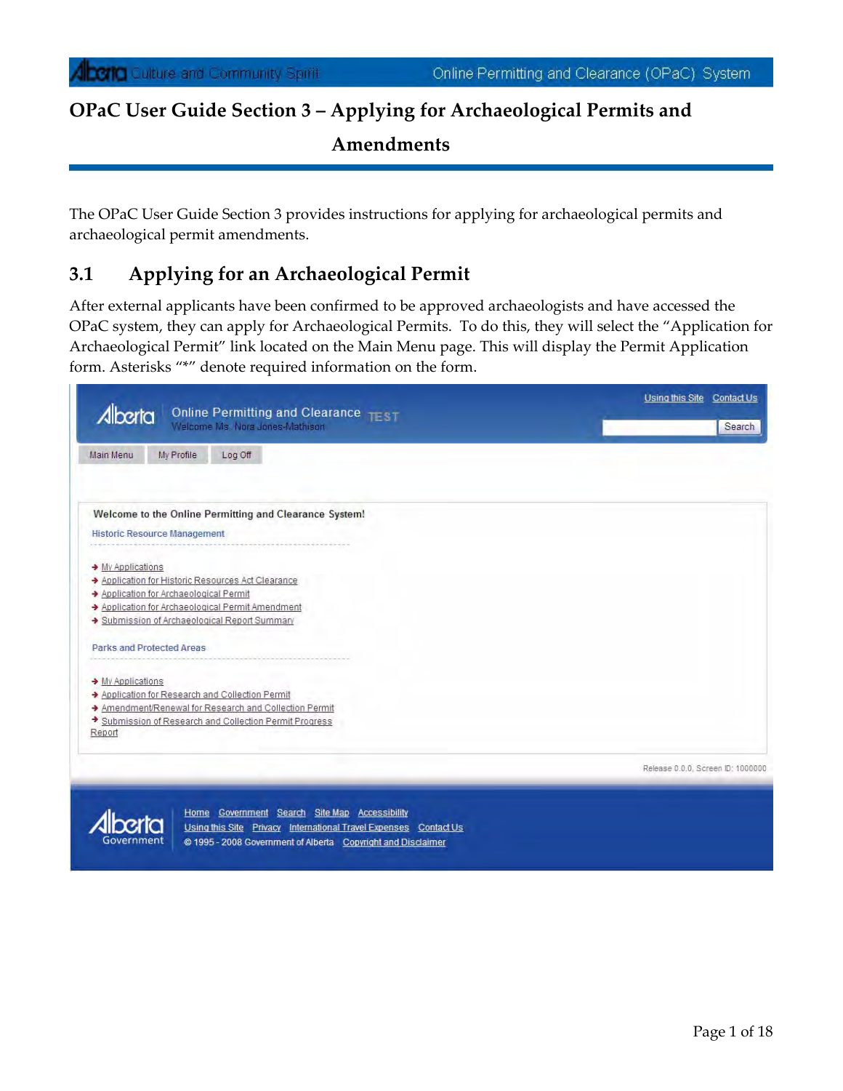The OPaC User Guide Section 3 provides instructions for applying for archaeological permits and archaeological permit amendments.

## **3.1 Applying for an Archaeological Permit**

After external applicants have been confirmed to be approved archaeologists and have accessed the OPaC system, they can apply for Archaeological Permits. To do this, they will select the "Application for Archaeological Permit" link located on the Main Menu page. This will display the Permit Application form. Asterisks "\*" denote required information on the form.

| Online Permitting and Clearance TEST<br>Alberta        | Using this Site Contact Us        |
|--------------------------------------------------------|-----------------------------------|
| Welcome Ms Nora Jones-Mathison                         | Search                            |
| Main Menu<br>My Profile<br>Log Off                     |                                   |
| Welcome to the Online Permitting and Clearance System! |                                   |
| <b>Historic Resource Management</b>                    |                                   |
| → My Applications                                      |                                   |
| > Application for Historic Resources Act Clearance     |                                   |
| Application for Archaeological Permit                  |                                   |
| > Application for Archaeological Permit Amendment      |                                   |
| Submission of Archaeological Report Summary            |                                   |
| Parks and Protected Areas                              |                                   |
|                                                        |                                   |
| → My Applications                                      |                                   |
| Application for Research and Collection Permit         |                                   |
| Amendment/Renewal for Research and Collection Permit   |                                   |
| Submission of Research and Collection Permit Progress  |                                   |
| Report                                                 |                                   |
|                                                        |                                   |
|                                                        | Release 0.0.0, Screen ID: 1000000 |



Home Government Search Site Map Accessibility Using this Site Privacy International Travel Expenses Contact Us @ 1995 - 2008 Government of Alberta Copyright and Disclaimer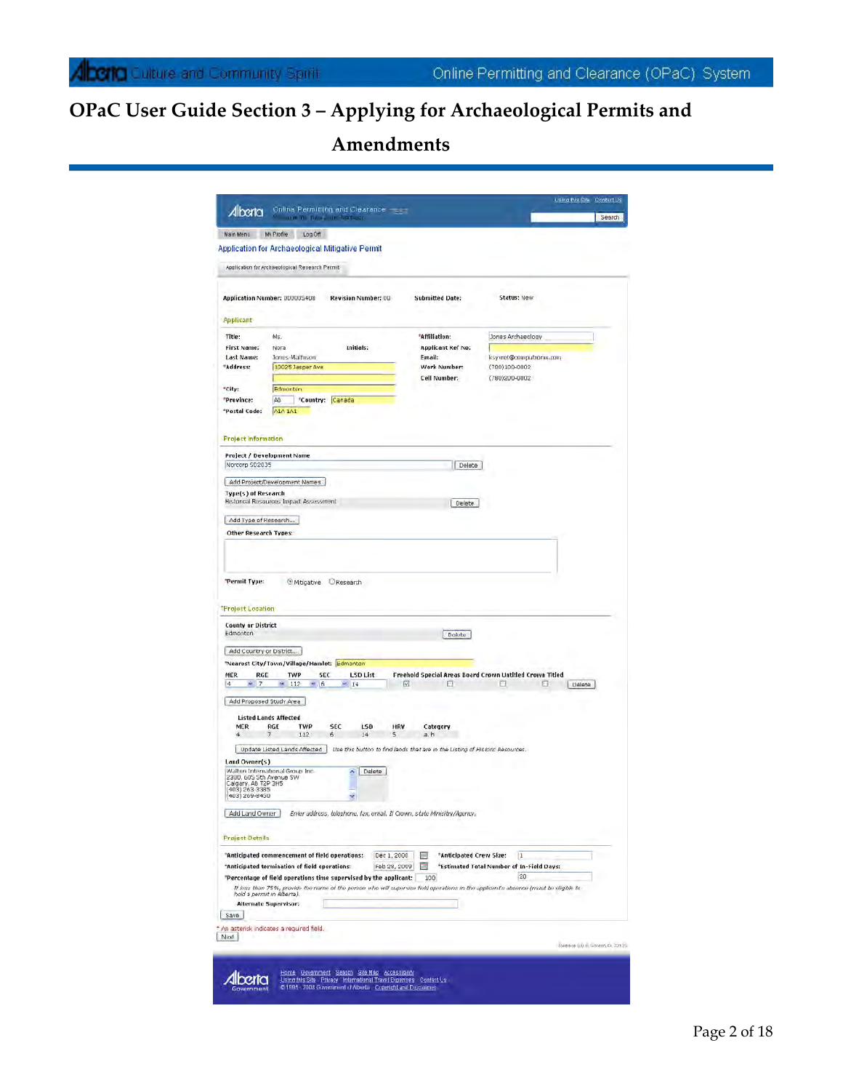|                                                                                                                                                    | mine all the commitments on                      |                                                                   |                                                                                                                                      |                                           | Search                           |
|----------------------------------------------------------------------------------------------------------------------------------------------------|--------------------------------------------------|-------------------------------------------------------------------|--------------------------------------------------------------------------------------------------------------------------------------|-------------------------------------------|----------------------------------|
| Main Menu                                                                                                                                          | My Profile<br>Log Off                            |                                                                   |                                                                                                                                      |                                           |                                  |
|                                                                                                                                                    | Application for Archaeological Mitigative Permit |                                                                   |                                                                                                                                      |                                           |                                  |
|                                                                                                                                                    | Application for Archaeological Research Permit   |                                                                   |                                                                                                                                      |                                           |                                  |
|                                                                                                                                                    | Application Number: UDDUDS408                    | <b>Revision Number: 00</b>                                        | <b>Submitted Date:</b>                                                                                                               | Status: New                               |                                  |
| <b>Applicant</b>                                                                                                                                   |                                                  |                                                                   |                                                                                                                                      |                                           |                                  |
| Title:                                                                                                                                             | Ms.                                              |                                                                   | "Affiliation:                                                                                                                        | Jones Archaeology                         |                                  |
| <b>First Name:</b>                                                                                                                                 | Nora                                             | <b>Initials:</b>                                                  | <b>Applicant Ref No:</b>                                                                                                             |                                           |                                  |
| <b>Last Name:</b>                                                                                                                                  | Jones-Mathison                                   |                                                                   | Email:                                                                                                                               | ksyvret@computronix.com                   |                                  |
| "Address:                                                                                                                                          | 10025 Jasper Ave                                 |                                                                   | Work Number:<br>Cell Number:                                                                                                         | (780)100-0002<br>(780)200-0002            |                                  |
| "City:                                                                                                                                             | Edmonton                                         |                                                                   |                                                                                                                                      |                                           |                                  |
| "Province:                                                                                                                                         | AB.                                              | "Country: Canada                                                  |                                                                                                                                      |                                           |                                  |
| "Postal Code:                                                                                                                                      | AIA IAI                                          |                                                                   |                                                                                                                                      |                                           |                                  |
| <b>Project Information</b>                                                                                                                         |                                                  |                                                                   |                                                                                                                                      |                                           |                                  |
|                                                                                                                                                    | Project / Development Name                       |                                                                   |                                                                                                                                      |                                           |                                  |
| Norcorp SD2035                                                                                                                                     |                                                  |                                                                   | Delete                                                                                                                               |                                           |                                  |
|                                                                                                                                                    | Add Project/Development Names                    |                                                                   |                                                                                                                                      |                                           |                                  |
| Type(s) of Research                                                                                                                                |                                                  |                                                                   |                                                                                                                                      |                                           |                                  |
|                                                                                                                                                    | Historical Resources Impact Assessment           |                                                                   | Delete                                                                                                                               |                                           |                                  |
| Add Type of Research                                                                                                                               |                                                  |                                                                   |                                                                                                                                      |                                           |                                  |
| <b>Other Research Types:</b>                                                                                                                       |                                                  |                                                                   |                                                                                                                                      |                                           |                                  |
|                                                                                                                                                    |                                                  |                                                                   |                                                                                                                                      |                                           |                                  |
|                                                                                                                                                    | <sup>®</sup> Mitigative                          | Research                                                          |                                                                                                                                      |                                           |                                  |
|                                                                                                                                                    |                                                  |                                                                   |                                                                                                                                      |                                           |                                  |
|                                                                                                                                                    |                                                  |                                                                   | Delute                                                                                                                               |                                           |                                  |
|                                                                                                                                                    |                                                  |                                                                   |                                                                                                                                      |                                           |                                  |
|                                                                                                                                                    | "Nearest City/Town/Village/Hamlet: Edmonton      |                                                                   |                                                                                                                                      |                                           |                                  |
| RGE<br>$\sim$ 7                                                                                                                                    | TWP<br>SEC<br>$-112$<br>$-16$                    | <b>LSD List</b><br>$-14$                                          | Freehold Special Areas Board Crown Untitled Crown Titled<br>$\overline{\mathbf{w}}$<br>Ω                                             | Ω<br>Е                                    | Délete                           |
|                                                                                                                                                    | Add Proposed Study Area                          |                                                                   |                                                                                                                                      |                                           |                                  |
|                                                                                                                                                    | <b>Listed Lands Affected</b>                     |                                                                   |                                                                                                                                      |                                           |                                  |
| MER<br>$\overline{\mathbf{4}}$                                                                                                                     | RGE<br><b>TWP</b><br>112                         | SEC<br>LSD<br>6<br>14                                             | <b>HRV</b><br>Category<br>5<br>a, h                                                                                                  |                                           |                                  |
| "Permit Type:<br><b>Project Location</b><br><b>County or District</b><br>Edmonton<br>Add Country or District<br><b>MER</b><br>$\ddot{\phantom{a}}$ | Update Listed Lands Affected                     |                                                                   | Use this button to find lands that are in the Listing of Historic Resources.                                                         |                                           |                                  |
| Land Owner(s)                                                                                                                                      |                                                  |                                                                   |                                                                                                                                      |                                           |                                  |
|                                                                                                                                                    | Walton International Group Inc.                  | ۸<br>Delete                                                       |                                                                                                                                      |                                           |                                  |
|                                                                                                                                                    |                                                  |                                                                   |                                                                                                                                      |                                           |                                  |
|                                                                                                                                                    |                                                  | ż                                                                 |                                                                                                                                      |                                           |                                  |
|                                                                                                                                                    |                                                  |                                                                   |                                                                                                                                      |                                           |                                  |
|                                                                                                                                                    |                                                  |                                                                   | Enter address, telephone, fax, email. If Crown, state Minisitry/Agency,                                                              |                                           |                                  |
|                                                                                                                                                    |                                                  |                                                                   |                                                                                                                                      |                                           |                                  |
| 2300, 605 Sth Avenue SW<br>Calgary, AB T2P 3H5<br>(403) 263 3385<br>(403) 269-8450<br>Add Land Owner<br><b>Project Details</b>                     | "Anticipated commencement of field operations:   |                                                                   | "Anticipated Crew Size:<br>Dec 1, 2008<br>m                                                                                          | 11                                        |                                  |
|                                                                                                                                                    | "Anticipated termination of field operations:    |                                                                   | Feb 28, 2009<br>國                                                                                                                    | *Estimated Total Number of In-Field Days: |                                  |
|                                                                                                                                                    |                                                  | "Percentage of field operations time supervised by the applicant: | 100                                                                                                                                  | 20                                        |                                  |
|                                                                                                                                                    | hold a permit in Alberta).                       |                                                                   | If less than 75%, provide the name of the person who will supervise field operations in the applicant's absence (must be eligible to |                                           |                                  |
|                                                                                                                                                    | <b>Alternate Supervisor:</b>                     |                                                                   |                                                                                                                                      |                                           |                                  |
| Save                                                                                                                                               |                                                  |                                                                   |                                                                                                                                      |                                           |                                  |
|                                                                                                                                                    | An asterisk indicates a required field.          |                                                                   |                                                                                                                                      |                                           |                                  |
| Next                                                                                                                                               |                                                  |                                                                   |                                                                                                                                      |                                           | Reitiste (R) (R Screen D, 22125) |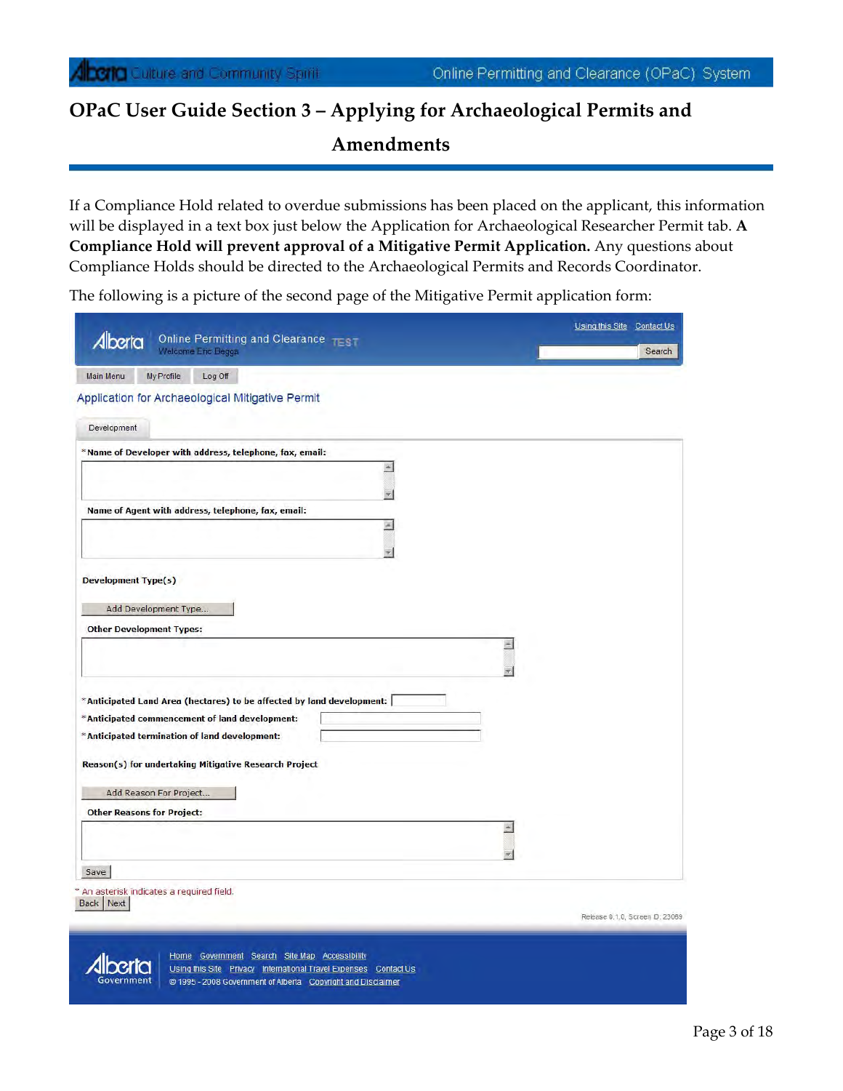If a Compliance Hold related to overdue submissions has been placed on the applicant, this information will be displayed in a text box just below the Application for Archaeological Researcher Permit tab. **A Compliance Hold will prevent approval of a Mitigative Permit Application.** Any questions about Compliance Holds should be directed to the Archaeological Permits and Records Coordinator.

The following is a picture of the second page of the Mitigative Permit application form:

| Online Permitting and Clearance TEST                                                                                                                                                                                                                                                                                |   | Using this Site Contact Us |
|---------------------------------------------------------------------------------------------------------------------------------------------------------------------------------------------------------------------------------------------------------------------------------------------------------------------|---|----------------------------|
| Alberta<br>Welcome Eric Beggs                                                                                                                                                                                                                                                                                       |   | Search                     |
| My Profile<br>Log Off<br><b>Main Menu</b>                                                                                                                                                                                                                                                                           |   |                            |
| Application for Archaeological Mitigative Permit                                                                                                                                                                                                                                                                    |   |                            |
| Development                                                                                                                                                                                                                                                                                                         |   |                            |
|                                                                                                                                                                                                                                                                                                                     |   |                            |
| *Name of Developer with address, telephone, fax, email:                                                                                                                                                                                                                                                             |   |                            |
|                                                                                                                                                                                                                                                                                                                     |   |                            |
| Name of Agent with address, telephone, fax, email:                                                                                                                                                                                                                                                                  |   |                            |
|                                                                                                                                                                                                                                                                                                                     |   |                            |
|                                                                                                                                                                                                                                                                                                                     |   |                            |
|                                                                                                                                                                                                                                                                                                                     |   |                            |
| <b>Development Type(s)</b>                                                                                                                                                                                                                                                                                          |   |                            |
| Add Development Type                                                                                                                                                                                                                                                                                                |   |                            |
|                                                                                                                                                                                                                                                                                                                     |   |                            |
|                                                                                                                                                                                                                                                                                                                     |   |                            |
|                                                                                                                                                                                                                                                                                                                     | 圏 |                            |
|                                                                                                                                                                                                                                                                                                                     |   |                            |
|                                                                                                                                                                                                                                                                                                                     |   |                            |
|                                                                                                                                                                                                                                                                                                                     |   |                            |
|                                                                                                                                                                                                                                                                                                                     |   |                            |
|                                                                                                                                                                                                                                                                                                                     |   |                            |
|                                                                                                                                                                                                                                                                                                                     |   |                            |
| Add Reason For Project                                                                                                                                                                                                                                                                                              |   |                            |
|                                                                                                                                                                                                                                                                                                                     |   |                            |
|                                                                                                                                                                                                                                                                                                                     |   |                            |
|                                                                                                                                                                                                                                                                                                                     |   |                            |
| <b>Other Development Types:</b><br>*Anticipated Land Area (hectares) to be affected by land development:  <br>*Anticipated commencement of land development:<br>*Anticipated termination of land development:<br>Reason(s) for undertaking Mitigative Research Project<br><b>Other Reasons for Project:</b><br>Save |   |                            |
| An asterisk indicates a required field.<br>Back Next                                                                                                                                                                                                                                                                |   |                            |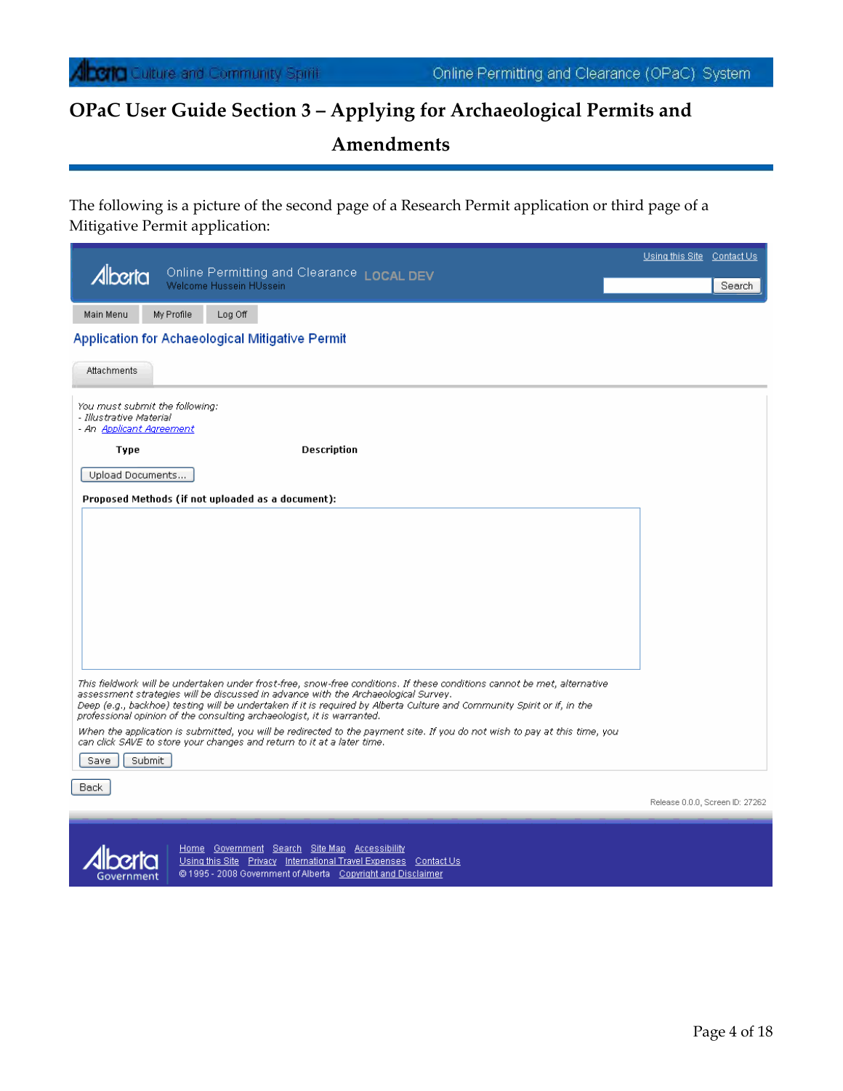The following is a picture of the second page of a Research Permit application or third page of a Mitigative Permit application:

|                                                                                       |            |                                                   |                                                                                                                                                                                                                                                                                                                                                                                                                     | Using this Site Contact Us |                                 |
|---------------------------------------------------------------------------------------|------------|---------------------------------------------------|---------------------------------------------------------------------------------------------------------------------------------------------------------------------------------------------------------------------------------------------------------------------------------------------------------------------------------------------------------------------------------------------------------------------|----------------------------|---------------------------------|
| Alberta                                                                               |            | Welcome Hussein HUssein                           | Online Permitting and Clearance LOCAL DEV                                                                                                                                                                                                                                                                                                                                                                           |                            | Search                          |
|                                                                                       |            |                                                   |                                                                                                                                                                                                                                                                                                                                                                                                                     |                            |                                 |
| Main Menu                                                                             | My Profile | Log Off                                           |                                                                                                                                                                                                                                                                                                                                                                                                                     |                            |                                 |
|                                                                                       |            | Application for Achaeological Mitigative Permit   |                                                                                                                                                                                                                                                                                                                                                                                                                     |                            |                                 |
| Attachments                                                                           |            |                                                   |                                                                                                                                                                                                                                                                                                                                                                                                                     |                            |                                 |
| You must submit the following:<br>- Illustrative Material<br>- An Applicant Agreement |            |                                                   |                                                                                                                                                                                                                                                                                                                                                                                                                     |                            |                                 |
| Type                                                                                  |            |                                                   | <b>Description</b>                                                                                                                                                                                                                                                                                                                                                                                                  |                            |                                 |
| Upload Documents                                                                      |            |                                                   |                                                                                                                                                                                                                                                                                                                                                                                                                     |                            |                                 |
|                                                                                       |            | Proposed Methods (if not uploaded as a document): |                                                                                                                                                                                                                                                                                                                                                                                                                     |                            |                                 |
|                                                                                       |            |                                                   |                                                                                                                                                                                                                                                                                                                                                                                                                     |                            |                                 |
|                                                                                       |            |                                                   |                                                                                                                                                                                                                                                                                                                                                                                                                     |                            |                                 |
|                                                                                       |            |                                                   |                                                                                                                                                                                                                                                                                                                                                                                                                     |                            |                                 |
|                                                                                       |            |                                                   |                                                                                                                                                                                                                                                                                                                                                                                                                     |                            |                                 |
|                                                                                       |            |                                                   |                                                                                                                                                                                                                                                                                                                                                                                                                     |                            |                                 |
|                                                                                       |            |                                                   |                                                                                                                                                                                                                                                                                                                                                                                                                     |                            |                                 |
|                                                                                       |            |                                                   |                                                                                                                                                                                                                                                                                                                                                                                                                     |                            |                                 |
|                                                                                       |            |                                                   |                                                                                                                                                                                                                                                                                                                                                                                                                     |                            |                                 |
|                                                                                       |            |                                                   | This fieldwork will be undertaken under frost-free, snow-free conditions. If these conditions cannot be met, alternative<br>assessment strategies will be discussed in advance with the Archaeological Survey.<br>Deep (e.g., backhoe) testing will be undertaken if it is required by Alberta Culture and Community Spirit or if, in the<br>professional opinion of the consulting archaeologist, it is warranted. |                            |                                 |
|                                                                                       |            |                                                   | When the application is submitted, you will be redirected to the payment site. If you do not wish to pay at this time, you<br>can click SAVE to store your changes and return to it at a later time.                                                                                                                                                                                                                |                            |                                 |
| Save                                                                                  | Submit     |                                                   |                                                                                                                                                                                                                                                                                                                                                                                                                     |                            |                                 |
| Back                                                                                  |            |                                                   |                                                                                                                                                                                                                                                                                                                                                                                                                     |                            |                                 |
|                                                                                       |            |                                                   |                                                                                                                                                                                                                                                                                                                                                                                                                     |                            | Release 0.0.0, Screen ID: 27262 |



Home Government Search SiteMap Accessibility<br>Using this Site Privacy International Travel Expenses Contact Us<br>© 1995 - 2008 Government of Alberta Copyright and Disclaimer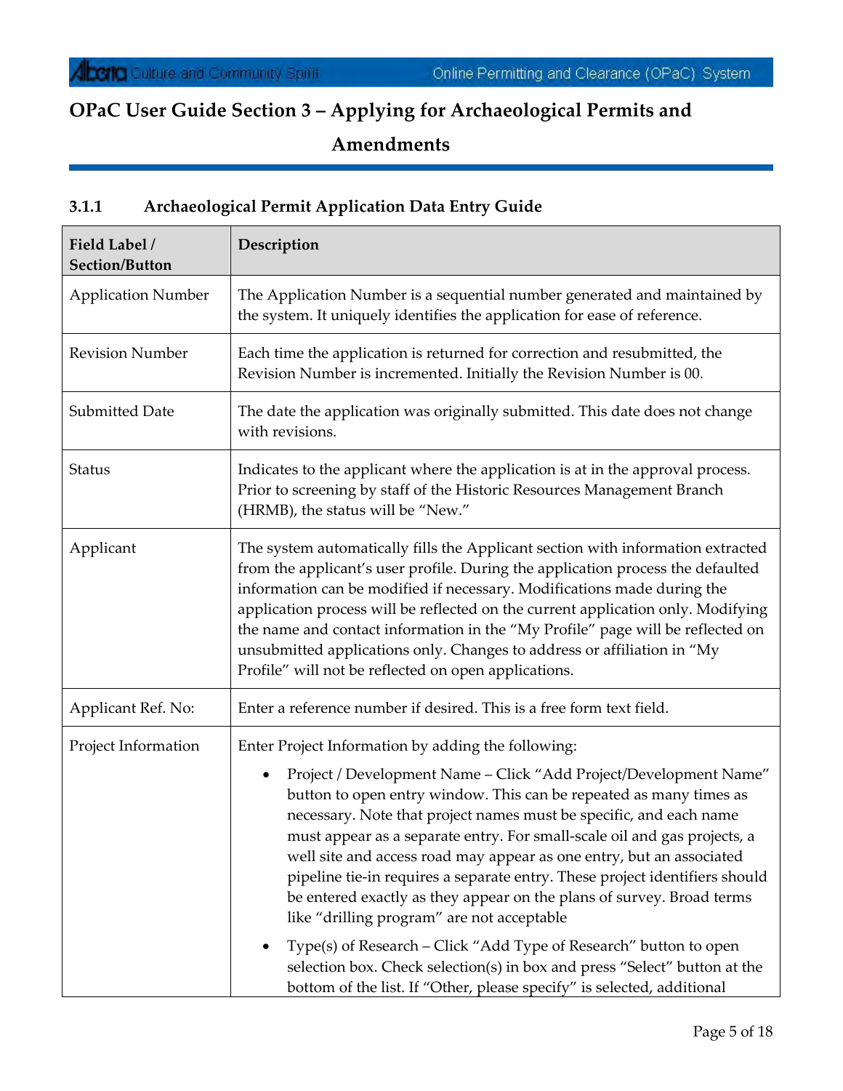## **3.1.1 Archaeological Permit Application Data Entry Guide**

| Field Label /<br>Section/Button | Description                                                                                                                                                                                                                                                                                                                                                                                                                                                                                                                                                                                                                                       |
|---------------------------------|---------------------------------------------------------------------------------------------------------------------------------------------------------------------------------------------------------------------------------------------------------------------------------------------------------------------------------------------------------------------------------------------------------------------------------------------------------------------------------------------------------------------------------------------------------------------------------------------------------------------------------------------------|
| <b>Application Number</b>       | The Application Number is a sequential number generated and maintained by<br>the system. It uniquely identifies the application for ease of reference.                                                                                                                                                                                                                                                                                                                                                                                                                                                                                            |
| <b>Revision Number</b>          | Each time the application is returned for correction and resubmitted, the<br>Revision Number is incremented. Initially the Revision Number is 00.                                                                                                                                                                                                                                                                                                                                                                                                                                                                                                 |
| Submitted Date                  | The date the application was originally submitted. This date does not change<br>with revisions.                                                                                                                                                                                                                                                                                                                                                                                                                                                                                                                                                   |
| <b>Status</b>                   | Indicates to the applicant where the application is at in the approval process.<br>Prior to screening by staff of the Historic Resources Management Branch<br>(HRMB), the status will be "New."                                                                                                                                                                                                                                                                                                                                                                                                                                                   |
| Applicant                       | The system automatically fills the Applicant section with information extracted<br>from the applicant's user profile. During the application process the defaulted<br>information can be modified if necessary. Modifications made during the<br>application process will be reflected on the current application only. Modifying<br>the name and contact information in the "My Profile" page will be reflected on<br>unsubmitted applications only. Changes to address or affiliation in "My<br>Profile" will not be reflected on open applications.                                                                                            |
| Applicant Ref. No:              | Enter a reference number if desired. This is a free form text field.                                                                                                                                                                                                                                                                                                                                                                                                                                                                                                                                                                              |
| Project Information             | Enter Project Information by adding the following:                                                                                                                                                                                                                                                                                                                                                                                                                                                                                                                                                                                                |
|                                 | Project / Development Name - Click "Add Project/Development Name"<br>٠<br>button to open entry window. This can be repeated as many times as<br>necessary. Note that project names must be specific, and each name<br>must appear as a separate entry. For small-scale oil and gas projects, a<br>well site and access road may appear as one entry, but an associated<br>pipeline tie-in requires a separate entry. These project identifiers should<br>be entered exactly as they appear on the plans of survey. Broad terms<br>like "drilling program" are not acceptable<br>Type(s) of Research - Click "Add Type of Research" button to open |
|                                 | selection box. Check selection(s) in box and press "Select" button at the<br>bottom of the list. If "Other, please specify" is selected, additional                                                                                                                                                                                                                                                                                                                                                                                                                                                                                               |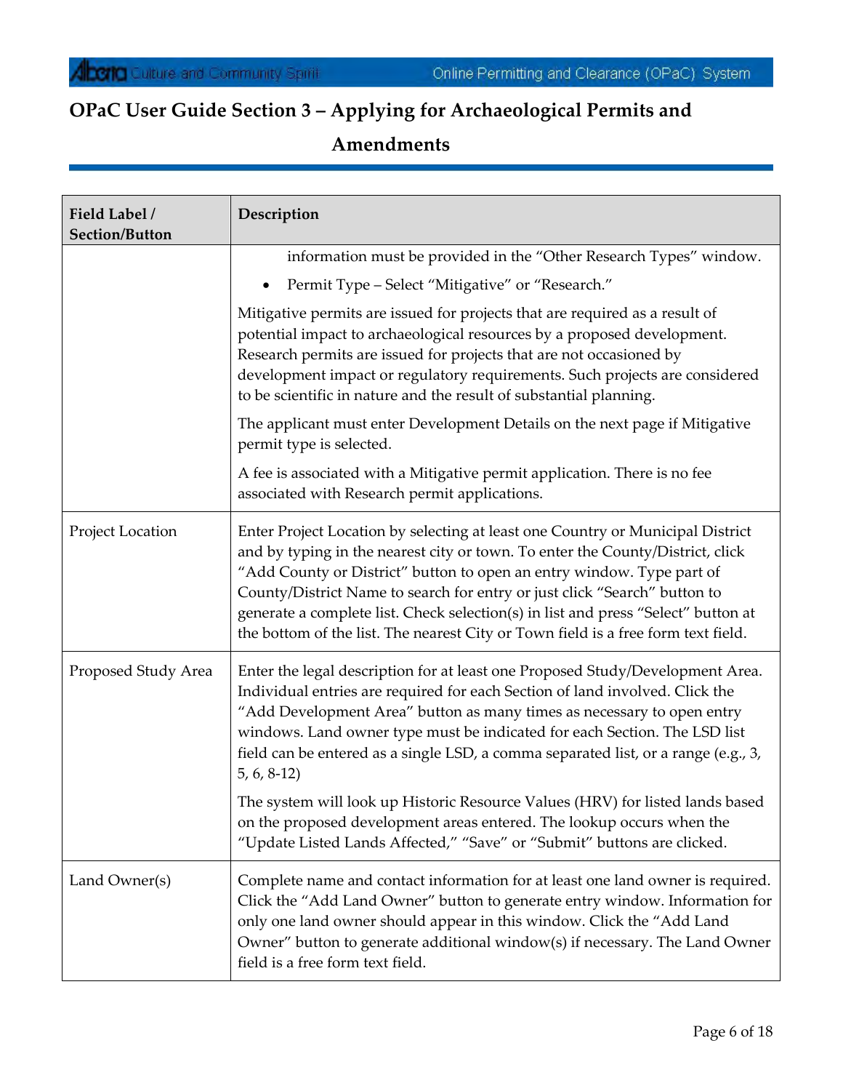| Field Label /<br><b>Section/Button</b> | Description                                                                                                                                                                                                                                                                                                                                                                                                                                                                                      |
|----------------------------------------|--------------------------------------------------------------------------------------------------------------------------------------------------------------------------------------------------------------------------------------------------------------------------------------------------------------------------------------------------------------------------------------------------------------------------------------------------------------------------------------------------|
|                                        | information must be provided in the "Other Research Types" window.                                                                                                                                                                                                                                                                                                                                                                                                                               |
|                                        | Permit Type - Select "Mitigative" or "Research."                                                                                                                                                                                                                                                                                                                                                                                                                                                 |
|                                        | Mitigative permits are issued for projects that are required as a result of<br>potential impact to archaeological resources by a proposed development.<br>Research permits are issued for projects that are not occasioned by<br>development impact or regulatory requirements. Such projects are considered<br>to be scientific in nature and the result of substantial planning.                                                                                                               |
|                                        | The applicant must enter Development Details on the next page if Mitigative<br>permit type is selected.                                                                                                                                                                                                                                                                                                                                                                                          |
|                                        | A fee is associated with a Mitigative permit application. There is no fee<br>associated with Research permit applications.                                                                                                                                                                                                                                                                                                                                                                       |
| Project Location                       | Enter Project Location by selecting at least one Country or Municipal District<br>and by typing in the nearest city or town. To enter the County/District, click<br>"Add County or District" button to open an entry window. Type part of<br>County/District Name to search for entry or just click "Search" button to<br>generate a complete list. Check selection(s) in list and press "Select" button at<br>the bottom of the list. The nearest City or Town field is a free form text field. |
| Proposed Study Area                    | Enter the legal description for at least one Proposed Study/Development Area.<br>Individual entries are required for each Section of land involved. Click the<br>"Add Development Area" button as many times as necessary to open entry<br>windows. Land owner type must be indicated for each Section. The LSD list<br>field can be entered as a single LSD, a comma separated list, or a range (e.g., 3,<br>$5, 6, 8-12$                                                                       |
|                                        | The system will look up Historic Resource Values (HRV) for listed lands based<br>on the proposed development areas entered. The lookup occurs when the<br>"Update Listed Lands Affected," "Save" or "Submit" buttons are clicked.                                                                                                                                                                                                                                                                |
| Land Owner(s)                          | Complete name and contact information for at least one land owner is required.<br>Click the "Add Land Owner" button to generate entry window. Information for<br>only one land owner should appear in this window. Click the "Add Land<br>Owner" button to generate additional window(s) if necessary. The Land Owner<br>field is a free form text field.                                                                                                                                        |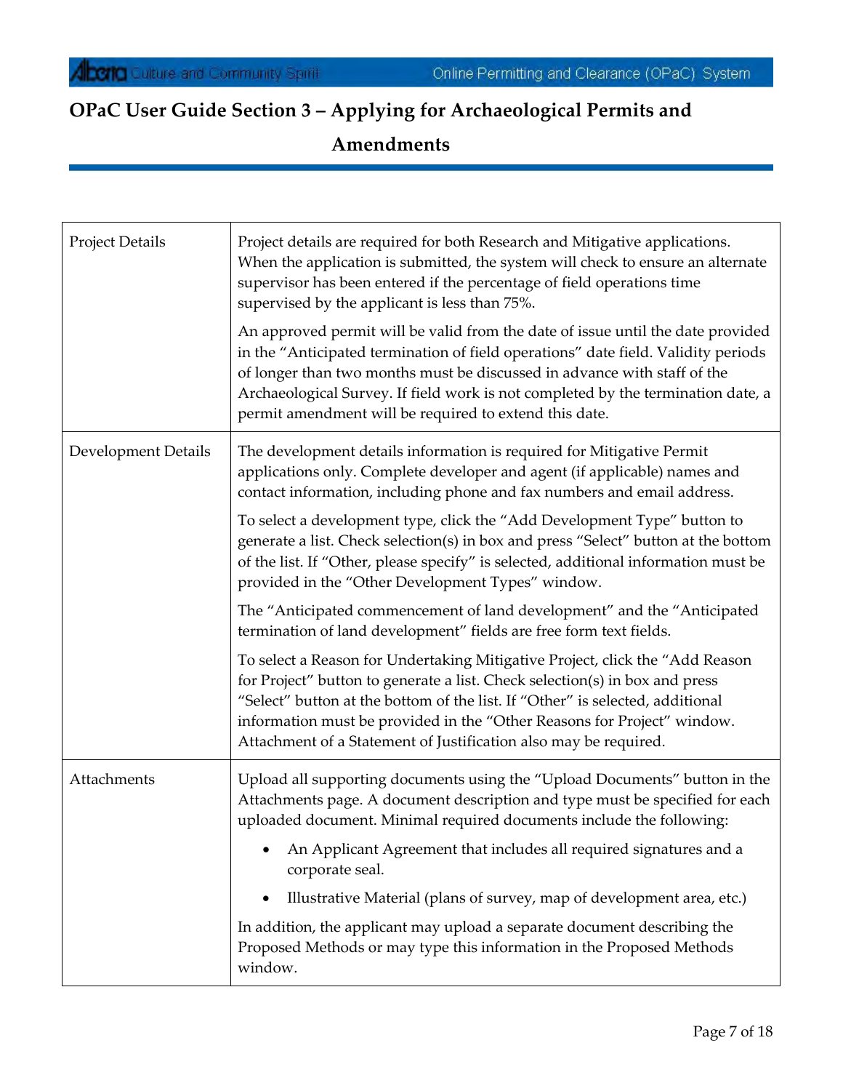| <b>Project Details</b>     | Project details are required for both Research and Mitigative applications.<br>When the application is submitted, the system will check to ensure an alternate<br>supervisor has been entered if the percentage of field operations time<br>supervised by the applicant is less than 75%.                                                                                                      |
|----------------------------|------------------------------------------------------------------------------------------------------------------------------------------------------------------------------------------------------------------------------------------------------------------------------------------------------------------------------------------------------------------------------------------------|
|                            | An approved permit will be valid from the date of issue until the date provided<br>in the "Anticipated termination of field operations" date field. Validity periods<br>of longer than two months must be discussed in advance with staff of the<br>Archaeological Survey. If field work is not completed by the termination date, a<br>permit amendment will be required to extend this date. |
| <b>Development Details</b> | The development details information is required for Mitigative Permit<br>applications only. Complete developer and agent (if applicable) names and<br>contact information, including phone and fax numbers and email address.                                                                                                                                                                  |
|                            | To select a development type, click the "Add Development Type" button to<br>generate a list. Check selection(s) in box and press "Select" button at the bottom<br>of the list. If "Other, please specify" is selected, additional information must be<br>provided in the "Other Development Types" window.                                                                                     |
|                            | The "Anticipated commencement of land development" and the "Anticipated<br>termination of land development" fields are free form text fields.                                                                                                                                                                                                                                                  |
|                            | To select a Reason for Undertaking Mitigative Project, click the "Add Reason<br>for Project" button to generate a list. Check selection(s) in box and press<br>"Select" button at the bottom of the list. If "Other" is selected, additional<br>information must be provided in the "Other Reasons for Project" window.<br>Attachment of a Statement of Justification also may be required.    |
| Attachments                | Upload all supporting documents using the "Upload Documents" button in the<br>Attachments page. A document description and type must be specified for each<br>uploaded document. Minimal required documents include the following:                                                                                                                                                             |
|                            | An Applicant Agreement that includes all required signatures and a<br>corporate seal.                                                                                                                                                                                                                                                                                                          |
|                            | Illustrative Material (plans of survey, map of development area, etc.)<br>$\bullet$                                                                                                                                                                                                                                                                                                            |
|                            | In addition, the applicant may upload a separate document describing the<br>Proposed Methods or may type this information in the Proposed Methods<br>window.                                                                                                                                                                                                                                   |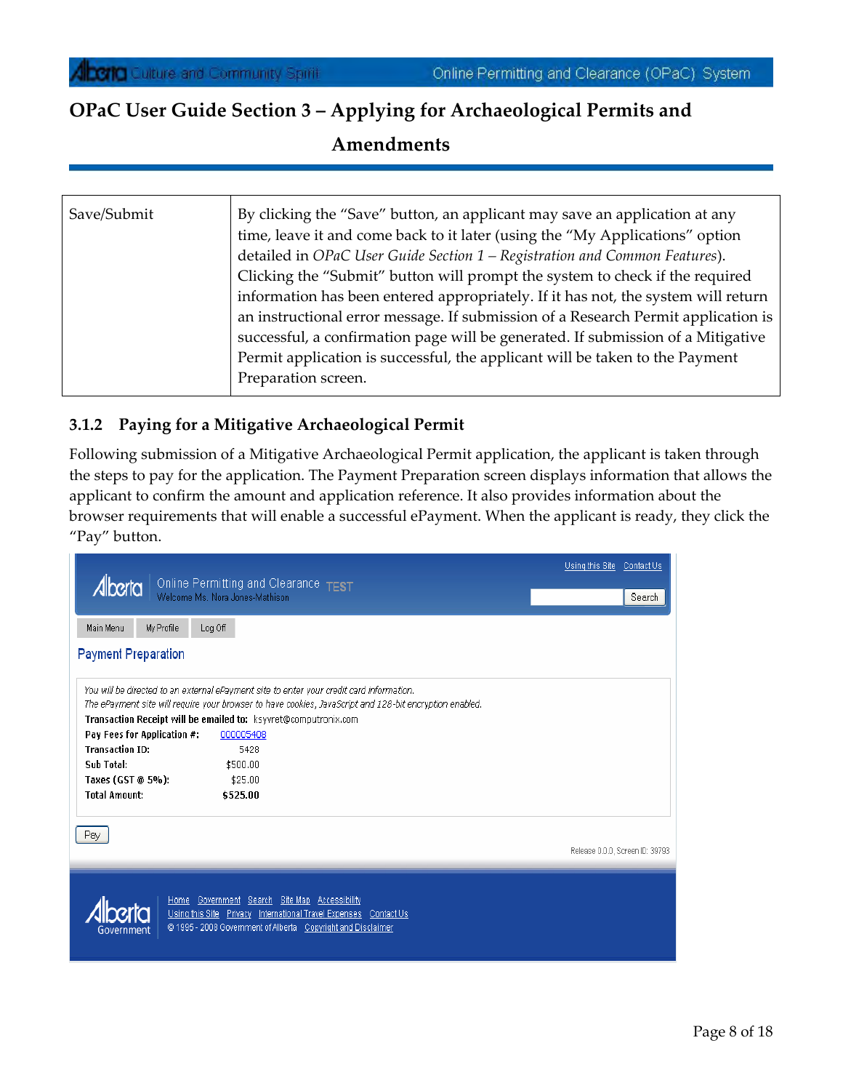| Save/Submit | By clicking the "Save" button, an applicant may save an application at any<br>time, leave it and come back to it later (using the "My Applications" option<br>detailed in OPaC User Guide Section 1 – Registration and Common Features).<br>Clicking the "Submit" button will prompt the system to check if the required<br>information has been entered appropriately. If it has not, the system will return<br>an instructional error message. If submission of a Research Permit application is<br>successful, a confirmation page will be generated. If submission of a Mitigative<br>Permit application is successful, the applicant will be taken to the Payment<br>Preparation screen. |
|-------------|-----------------------------------------------------------------------------------------------------------------------------------------------------------------------------------------------------------------------------------------------------------------------------------------------------------------------------------------------------------------------------------------------------------------------------------------------------------------------------------------------------------------------------------------------------------------------------------------------------------------------------------------------------------------------------------------------|
|-------------|-----------------------------------------------------------------------------------------------------------------------------------------------------------------------------------------------------------------------------------------------------------------------------------------------------------------------------------------------------------------------------------------------------------------------------------------------------------------------------------------------------------------------------------------------------------------------------------------------------------------------------------------------------------------------------------------------|

#### **3.1.2 Paying for a Mitigative Archaeological Permit**

Following submission of a Mitigative Archaeological Permit application, the applicant is taken through the steps to pay for the application. The Payment Preparation screen displays information that allows the applicant to confirm the amount and application reference. It also provides information about the browser requirements that will enable a successful ePayment. When the applicant is ready, they click the "Pay" button.

|                                                                                                                                                                                                 | Using this Site Contact Us      |
|-------------------------------------------------------------------------------------------------------------------------------------------------------------------------------------------------|---------------------------------|
| Online Permitting and Clearance TEST<br>Alberta<br>Welcome Ms. Nora Jones-Mathison                                                                                                              | Search                          |
|                                                                                                                                                                                                 |                                 |
| Log Off<br>Main Menu<br>My Profile                                                                                                                                                              |                                 |
| <b>Payment Preparation</b>                                                                                                                                                                      |                                 |
| You will be directed to an external ePayment site to enter your credit card information.                                                                                                        |                                 |
| The ePayment site will require your browser to have cookies, JavaScript and 128-bit encryption enabled.                                                                                         |                                 |
| Transaction Receipt will be emailed to: ksyvret@computronix.com<br>Pay Fees for Application #:<br>000005408                                                                                     |                                 |
| <b>Transaction ID:</b><br>5428                                                                                                                                                                  |                                 |
| Sub Total:<br>\$500.00                                                                                                                                                                          |                                 |
| Taxes (GST @ 5%):<br>\$25.00                                                                                                                                                                    |                                 |
| <b>Total Amount:</b><br>\$525.00                                                                                                                                                                |                                 |
| Pay                                                                                                                                                                                             |                                 |
|                                                                                                                                                                                                 | Release 0.0.0, Screen ID: 39793 |
| Home Government Search Site Map Accessibility<br>Using this Site Privacy International Travel Expenses Contact Us<br>© 1995 - 2008 Government of Alberta Copyright and Disclaimer<br>Government |                                 |
|                                                                                                                                                                                                 |                                 |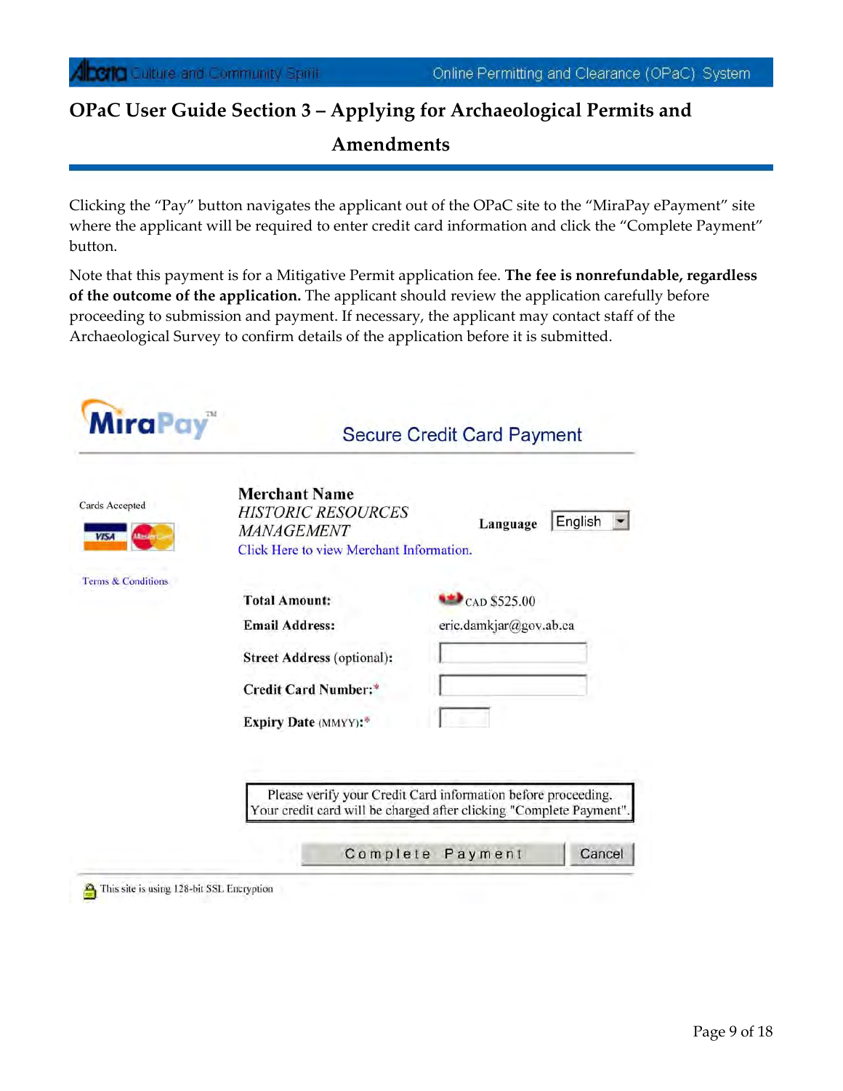Clicking the "Pay" button navigates the applicant out of the OPaC site to the "MiraPay ePayment" site where the applicant will be required to enter credit card information and click the "Complete Payment" button.

Note that this payment is for a Mitigative Permit application fee. **The fee is nonrefundable, regardless of the outcome of the application.** The applicant should review the application carefully before proceeding to submission and payment. If necessary, the applicant may contact staff of the Archaeological Survey to confirm details of the application before it is submitted.

| <b>MiraPay</b>                                  | <b>Secure Credit Card Payment</b>                                                                                                         |                                                                                                                                                                                     |  |
|-------------------------------------------------|-------------------------------------------------------------------------------------------------------------------------------------------|-------------------------------------------------------------------------------------------------------------------------------------------------------------------------------------|--|
| Cards Accepted<br><b>Massier</b><br><b>VISA</b> | <b>Merchant Name</b><br><b>HISTORIC RESOURCES</b><br><b>MANAGEMENT</b><br>Click Here to view Merchant Information.                        | English<br>Language                                                                                                                                                                 |  |
| Terms & Conditions                              | <b>Total Amount:</b><br><b>Email Address:</b><br><b>Street Address (optional):</b><br><b>Credit Card Number:*</b><br>Expiry Date (MMYY):* | $CO$ CAD \$525.00<br>eric.damkjar@gov.ab.ca<br>Please verify your Credit Card information before proceeding.<br>Your credit card will be charged after clicking "Complete Payment". |  |
|                                                 |                                                                                                                                           | Complete Payment<br>Cancel                                                                                                                                                          |  |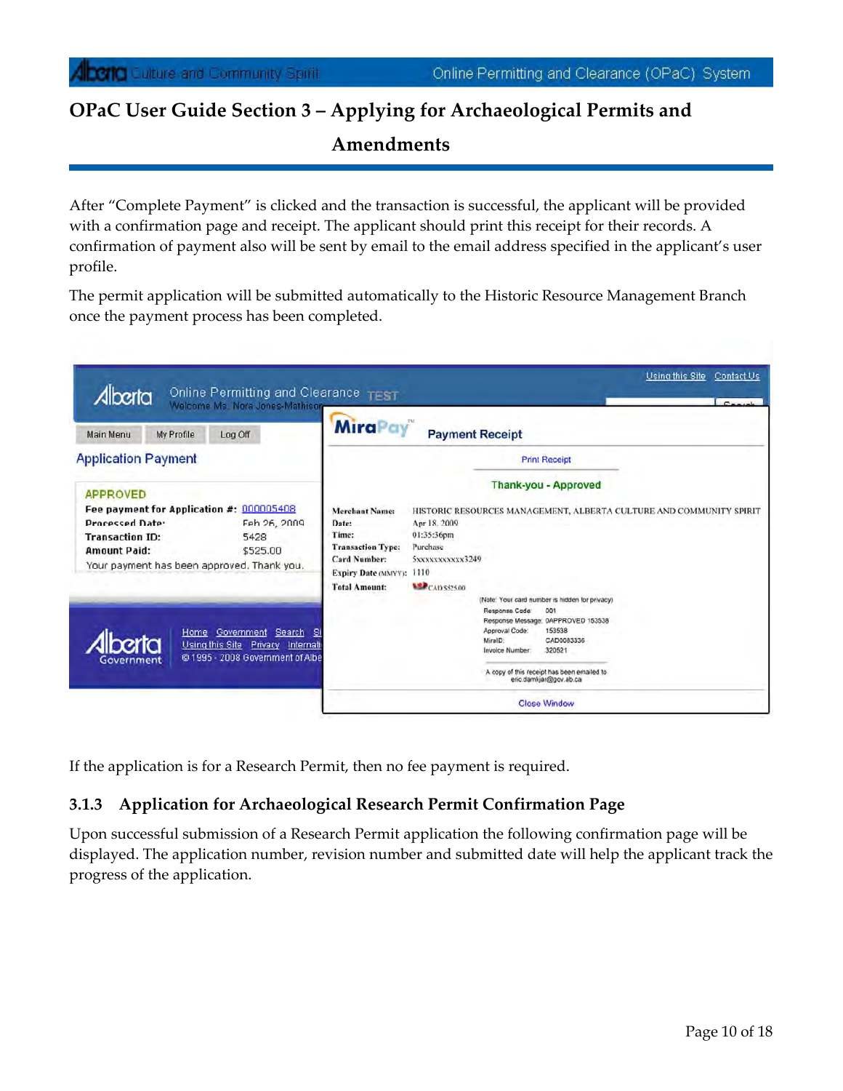After "Complete Payment" is clicked and the transaction is successful, the applicant will be provided with a confirmation page and receipt. The applicant should print this receipt for their records. A confirmation of payment also will be sent by email to the email address specified in the applicant's user profile.

The permit application will be submitted automatically to the Historic Resource Management Branch once the payment process has been completed.

| <b>My Profile</b><br>Log Off<br>Main Menu                                                                                                                                                             | <b>MiraPay</b>                                                                                                                                   | <b>Payment Receipt</b>                                                                        |                                                                |                                                                                                                                                                                                       |
|-------------------------------------------------------------------------------------------------------------------------------------------------------------------------------------------------------|--------------------------------------------------------------------------------------------------------------------------------------------------|-----------------------------------------------------------------------------------------------|----------------------------------------------------------------|-------------------------------------------------------------------------------------------------------------------------------------------------------------------------------------------------------|
| <b>Application Payment</b>                                                                                                                                                                            |                                                                                                                                                  |                                                                                               |                                                                | <b>Print Receipt</b>                                                                                                                                                                                  |
| <b>APPROVED</b>                                                                                                                                                                                       |                                                                                                                                                  |                                                                                               |                                                                | <b>Thank-you - Approved</b>                                                                                                                                                                           |
| Fee payment for Application #: 000005408<br><b>Processed Date:</b><br>Feb 26, 2009<br><b>Transaction ID:</b><br>5428<br>\$525.00<br><b>Amount Paid:</b><br>Your payment has been approved. Thank you. | <b>Merchant Name:</b><br>Date:<br>Time:<br><b>Transaction Type:</b><br><b>Card Number:</b><br><b>Expiry Date (MMYY):</b><br><b>Total Amount:</b> | Apr 18, 2009<br>01:35:36pm<br>Purchase<br>SXXXXXXXXXXX3249<br>1110<br><b>ASP</b> CAD \$525.00 |                                                                | HISTORIC RESOURCES MANAGEMENT, ALBERTA CULTURE AND COMMUNITY SPIRIT                                                                                                                                   |
| Home Government<br>Search SI<br>Using this Site Privacy Internati<br>@1995 - 2008 Government of Albe<br>Government                                                                                    |                                                                                                                                                  |                                                                                               | Response Code:<br>Approval Code:<br>MiralD:<br>Invoice Number: | (Note: Your card number is hidden for privacy)<br>001<br>Response Message: 0APPROVED 153538<br>153538<br>CAD0083336<br>320521<br>A copy of this receipt has been emailed to<br>eric.damkjar@gov.ab.ca |

If the application is for a Research Permit, then no fee payment is required.

#### **3.1.3 Application for Archaeological Research Permit Confirmation Page**

Upon successful submission of a Research Permit application the following confirmation page will be displayed. The application number, revision number and submitted date will help the applicant track the progress of the application.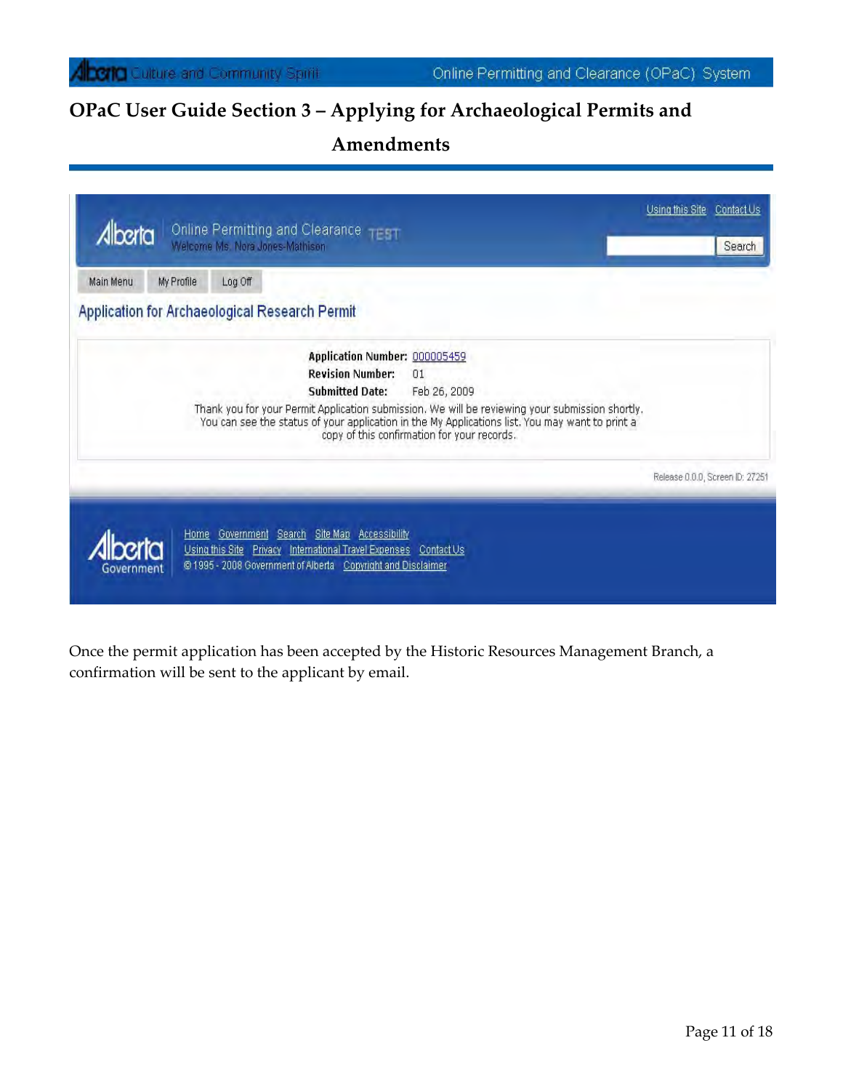# **OPaC User Guide Section 3 – Applying for Archaeological Permits and**

## **Amendments**

| Online Permitting and Clearance TT TT<br>Alberta<br>Welcome Ms. Nora Jones-Mathison<br>Main Menu<br>My Profile<br>Log Off                                                                                                                                                                                                                                     | Search                          |
|---------------------------------------------------------------------------------------------------------------------------------------------------------------------------------------------------------------------------------------------------------------------------------------------------------------------------------------------------------------|---------------------------------|
| Application for Archaeological Research Permit                                                                                                                                                                                                                                                                                                                |                                 |
| Application Number: 000005459<br><b>Revision Number:</b><br>01<br><b>Submitted Date:</b><br>Feb 26, 2009<br>Thank you for your Permit Application submission. We will be reviewing your submission shortly.<br>You can see the status of your application in the My Applications list. You may want to print a<br>copy of this confirmation for your records. |                                 |
|                                                                                                                                                                                                                                                                                                                                                               | Release 0.0.0, Screen ID: 27251 |
| Home Government Search Site Map Accessibility<br>Using this Site Privacy International Travel Expenses Contact Us<br>@ 1995 - 2008 Government of Alberta Copyright and Disclaimer<br>Government                                                                                                                                                               |                                 |

Once the permit application has been accepted by the Historic Resources Management Branch, a confirmation will be sent to the applicant by email.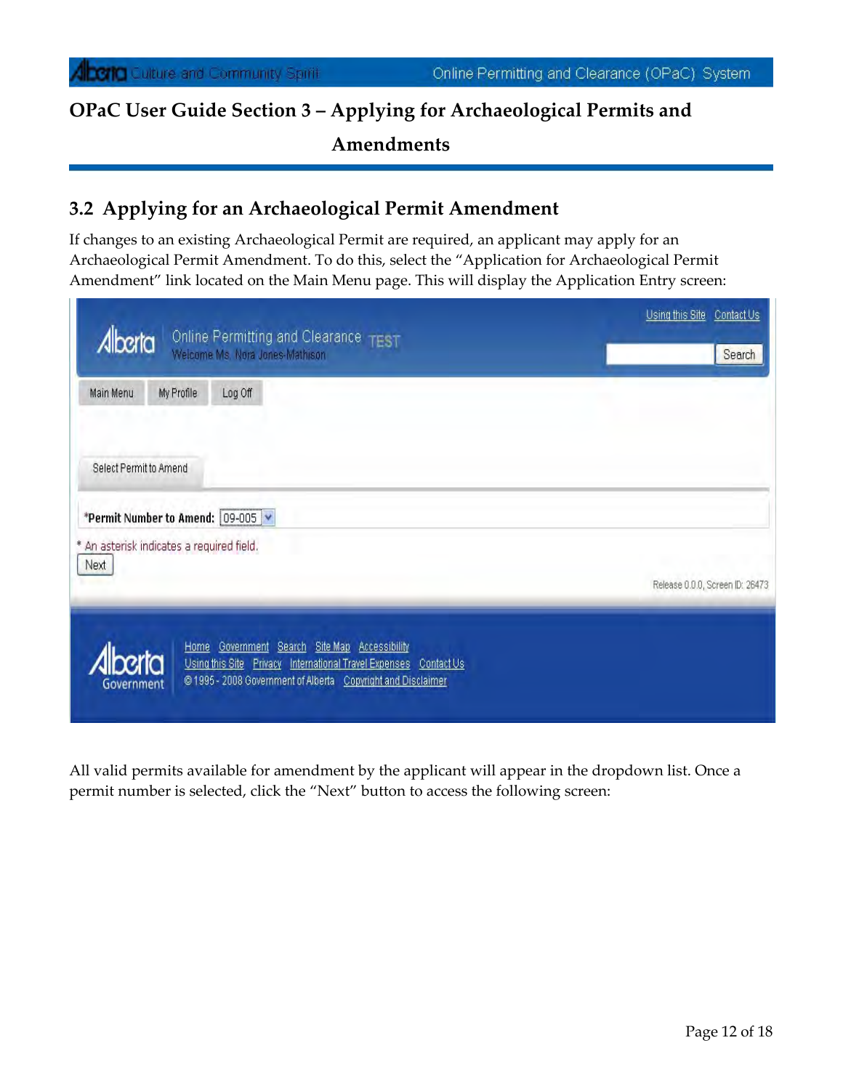## **3.2 Applying for an Archaeological Permit Amendment**

If changes to an existing Archaeological Permit are required, an applicant may apply for an Archaeological Permit Amendment. To do this, select the "Application for Archaeological Permit Amendment" link located on the Main Menu page. This will display the Application Entry screen:

| Online Permitting and Clearance TEST<br>Alberta<br>Welcome Ms. Nora Jones-Mathison                                                                                                                           | Using this Site<br>Contact Us<br>Search |
|--------------------------------------------------------------------------------------------------------------------------------------------------------------------------------------------------------------|-----------------------------------------|
| Log Off<br>Main Menu<br>My Profile                                                                                                                                                                           |                                         |
| Select Permit to Amend                                                                                                                                                                                       |                                         |
| *Permit Number to Amend: 09-005 V                                                                                                                                                                            |                                         |
| * An asterisk indicates a required field.<br>Next                                                                                                                                                            |                                         |
|                                                                                                                                                                                                              | Release 0.0.0, Screen ID: 26473         |
| Search Site Map Accessibility<br>Government<br>Home<br>misc<br>Using this Site Privacy International Travel Expenses Contact Us<br>@1995 - 2008 Government of Alberta Copyright and Disclaimer<br>Government |                                         |

All valid permits available for amendment by the applicant will appear in the dropdown list. Once a permit number is selected, click the "Next" button to access the following screen: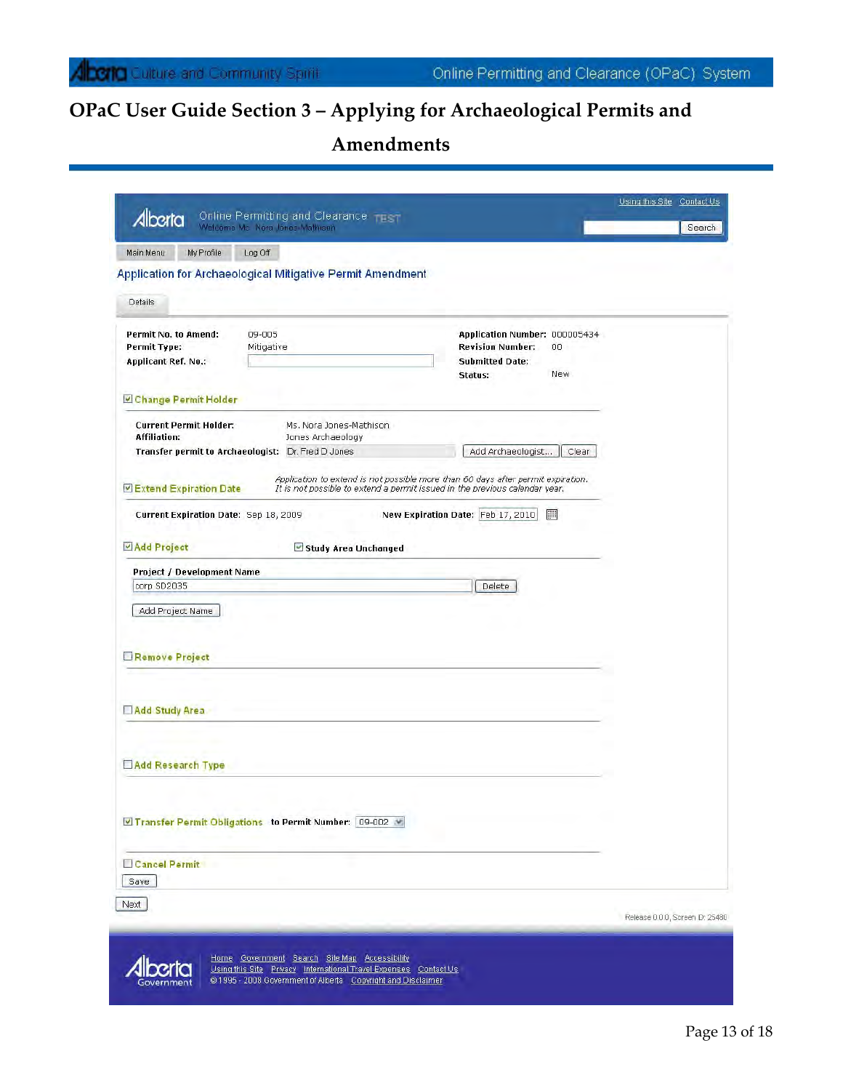# **OPaC User Guide Section 3 – Applying for Archaeological Permits and**

 **Amendments**

| My Profile<br>Log Off<br>Main Menu                                                                                                   |                                                                                                                                                                                                                 |                                                                                                             |  |
|--------------------------------------------------------------------------------------------------------------------------------------|-----------------------------------------------------------------------------------------------------------------------------------------------------------------------------------------------------------------|-------------------------------------------------------------------------------------------------------------|--|
| Details                                                                                                                              | Application for Archaeological Mitigative Permit Amendment                                                                                                                                                      |                                                                                                             |  |
| Permit No. to Amend:<br>09-005<br>Permit Type:<br>Mitigative<br><b>Applicant Ref. No.:</b><br>Change Permit Holder                   |                                                                                                                                                                                                                 | Application Number: 000005434<br><b>Revision Number:</b><br>OO.<br><b>Submitted Date:</b><br>New<br>Status: |  |
| <b>Current Permit Holder:</b><br><b>Affiliation:</b><br>Transfer permit to Archaeologist: Dr. Fred D Jones<br>Extend Expiration Date | Ms. Nora Jones-Mathison<br>Jones Archaeology<br>Application to extend is not possible more than 60 days after permit expiration.<br>It is not possible to extend a permit issued in the previous calendar year. | Add Archaeologist<br>Clear                                                                                  |  |
| Current Expiration Date: Sep 18, 2009<br>Add Project                                                                                 | Study Area Unchanged                                                                                                                                                                                            | New Expiration Date: Feb 17, 2010<br>圖                                                                      |  |
| <b>Project / Development Name</b><br>corp SD2035<br>Add Project Name                                                                 |                                                                                                                                                                                                                 | Delete                                                                                                      |  |
| Remove Project                                                                                                                       |                                                                                                                                                                                                                 |                                                                                                             |  |
| Add Study Area                                                                                                                       |                                                                                                                                                                                                                 |                                                                                                             |  |
| Add Research Type                                                                                                                    |                                                                                                                                                                                                                 |                                                                                                             |  |
| ■ Transfer Permit Obligations to Permit Number: 09-002 ₩                                                                             |                                                                                                                                                                                                                 |                                                                                                             |  |
| <b>Cancel Permit</b><br>Save                                                                                                         |                                                                                                                                                                                                                 |                                                                                                             |  |
|                                                                                                                                      |                                                                                                                                                                                                                 |                                                                                                             |  |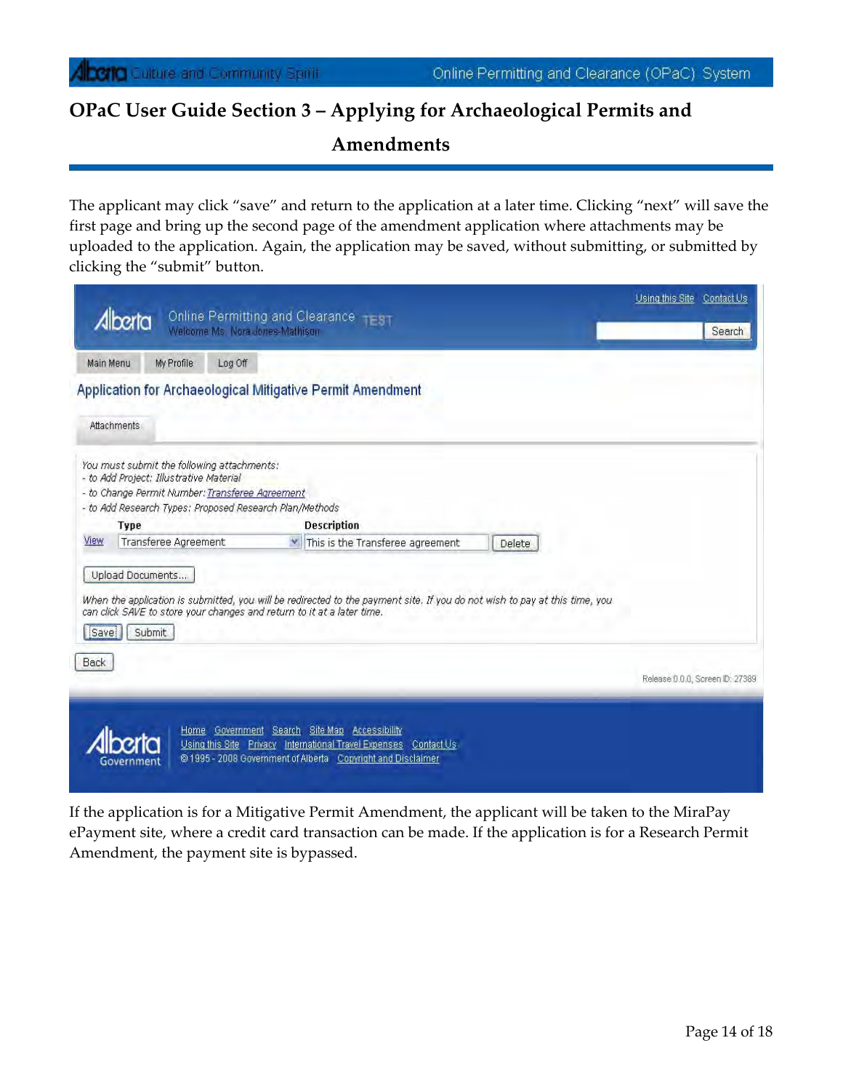The applicant may click "save" and return to the application at a later time. Clicking "next" will save the first page and bring up the second page of the amendment application where attachments may be uploaded to the application. Again, the application may be saved, without submitting, or submitted by clicking the "submit" button.

|             | herta                                                                                 | Online Permitting and Clearance - - 37<br>Welcome Ms. Nora Jones-Mathison                                                                                                                            | <b>Search</b>                   |
|-------------|---------------------------------------------------------------------------------------|------------------------------------------------------------------------------------------------------------------------------------------------------------------------------------------------------|---------------------------------|
| Main Menu   | My Profile                                                                            | Log Off                                                                                                                                                                                              |                                 |
|             |                                                                                       | Application for Archaeological Mitigative Permit Amendment                                                                                                                                           |                                 |
| Attachments |                                                                                       |                                                                                                                                                                                                      |                                 |
|             | You must submit the following attachments:<br>- to Add Project: Illustrative Material |                                                                                                                                                                                                      |                                 |
|             | - to Change Permit Number: Transferee Agreement                                       |                                                                                                                                                                                                      |                                 |
|             |                                                                                       | - to Add Research Types: Proposed Research Plan/Methods                                                                                                                                              |                                 |
|             | Type                                                                                  | <b>Description</b>                                                                                                                                                                                   |                                 |
| View        | Transferee Agreement                                                                  | V This is the Transferee agreement<br>Delete                                                                                                                                                         |                                 |
|             | Upload Documents                                                                      |                                                                                                                                                                                                      |                                 |
|             |                                                                                       |                                                                                                                                                                                                      |                                 |
|             |                                                                                       | When the application is submitted, you will be redirected to the payment site. If you do not wish to pay at this time, you<br>can click SAVE to store your changes and return to it at a later time. |                                 |
|             |                                                                                       |                                                                                                                                                                                                      |                                 |
| Save        | Submit                                                                                |                                                                                                                                                                                                      |                                 |
| Back        |                                                                                       |                                                                                                                                                                                                      |                                 |
|             |                                                                                       |                                                                                                                                                                                                      | Release 0.0.0, Screen ID: 27389 |
|             |                                                                                       |                                                                                                                                                                                                      |                                 |
|             |                                                                                       | Home Government Search Site Map Accessibility                                                                                                                                                        |                                 |

If the application is for a Mitigative Permit Amendment, the applicant will be taken to the MiraPay ePayment site, where a credit card transaction can be made. If the application is for a Research Permit Amendment, the payment site is bypassed.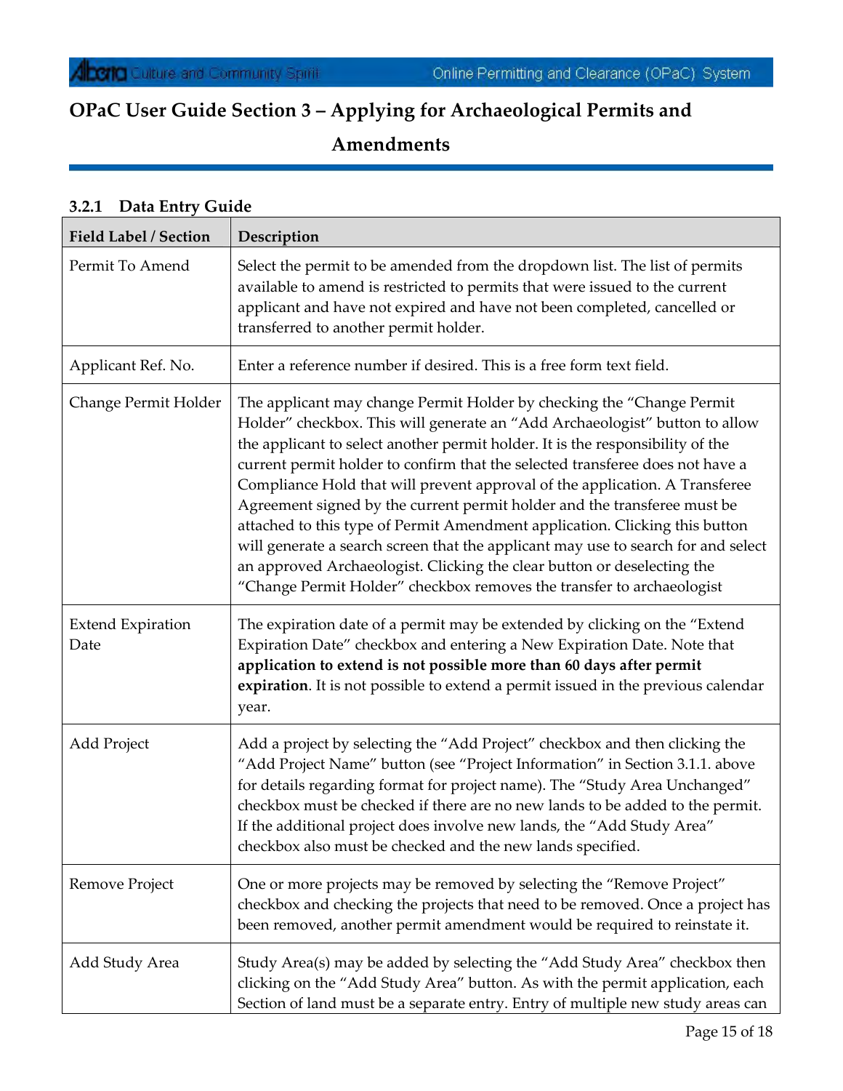## **3.2.1 Data Entry Guide**

| Field Label / Section            | Description                                                                                                                                                                                                                                                                                                                                                                                                                                                                                                                                                                                                                                                                                                                                                                                                |
|----------------------------------|------------------------------------------------------------------------------------------------------------------------------------------------------------------------------------------------------------------------------------------------------------------------------------------------------------------------------------------------------------------------------------------------------------------------------------------------------------------------------------------------------------------------------------------------------------------------------------------------------------------------------------------------------------------------------------------------------------------------------------------------------------------------------------------------------------|
| Permit To Amend                  | Select the permit to be amended from the dropdown list. The list of permits<br>available to amend is restricted to permits that were issued to the current<br>applicant and have not expired and have not been completed, cancelled or<br>transferred to another permit holder.                                                                                                                                                                                                                                                                                                                                                                                                                                                                                                                            |
| Applicant Ref. No.               | Enter a reference number if desired. This is a free form text field.                                                                                                                                                                                                                                                                                                                                                                                                                                                                                                                                                                                                                                                                                                                                       |
| Change Permit Holder             | The applicant may change Permit Holder by checking the "Change Permit<br>Holder" checkbox. This will generate an "Add Archaeologist" button to allow<br>the applicant to select another permit holder. It is the responsibility of the<br>current permit holder to confirm that the selected transferee does not have a<br>Compliance Hold that will prevent approval of the application. A Transferee<br>Agreement signed by the current permit holder and the transferee must be<br>attached to this type of Permit Amendment application. Clicking this button<br>will generate a search screen that the applicant may use to search for and select<br>an approved Archaeologist. Clicking the clear button or deselecting the<br>"Change Permit Holder" checkbox removes the transfer to archaeologist |
| <b>Extend Expiration</b><br>Date | The expiration date of a permit may be extended by clicking on the "Extend"<br>Expiration Date" checkbox and entering a New Expiration Date. Note that<br>application to extend is not possible more than 60 days after permit<br>expiration. It is not possible to extend a permit issued in the previous calendar<br>year.                                                                                                                                                                                                                                                                                                                                                                                                                                                                               |
| Add Project                      | Add a project by selecting the "Add Project" checkbox and then clicking the<br>"Add Project Name" button (see "Project Information" in Section 3.1.1. above<br>for details regarding format for project name). The "Study Area Unchanged"<br>checkbox must be checked if there are no new lands to be added to the permit.<br>If the additional project does involve new lands, the "Add Study Area"<br>checkbox also must be checked and the new lands specified.                                                                                                                                                                                                                                                                                                                                         |
| Remove Project                   | One or more projects may be removed by selecting the "Remove Project"<br>checkbox and checking the projects that need to be removed. Once a project has<br>been removed, another permit amendment would be required to reinstate it.                                                                                                                                                                                                                                                                                                                                                                                                                                                                                                                                                                       |
| Add Study Area                   | Study Area(s) may be added by selecting the "Add Study Area" checkbox then<br>clicking on the "Add Study Area" button. As with the permit application, each<br>Section of land must be a separate entry. Entry of multiple new study areas can                                                                                                                                                                                                                                                                                                                                                                                                                                                                                                                                                             |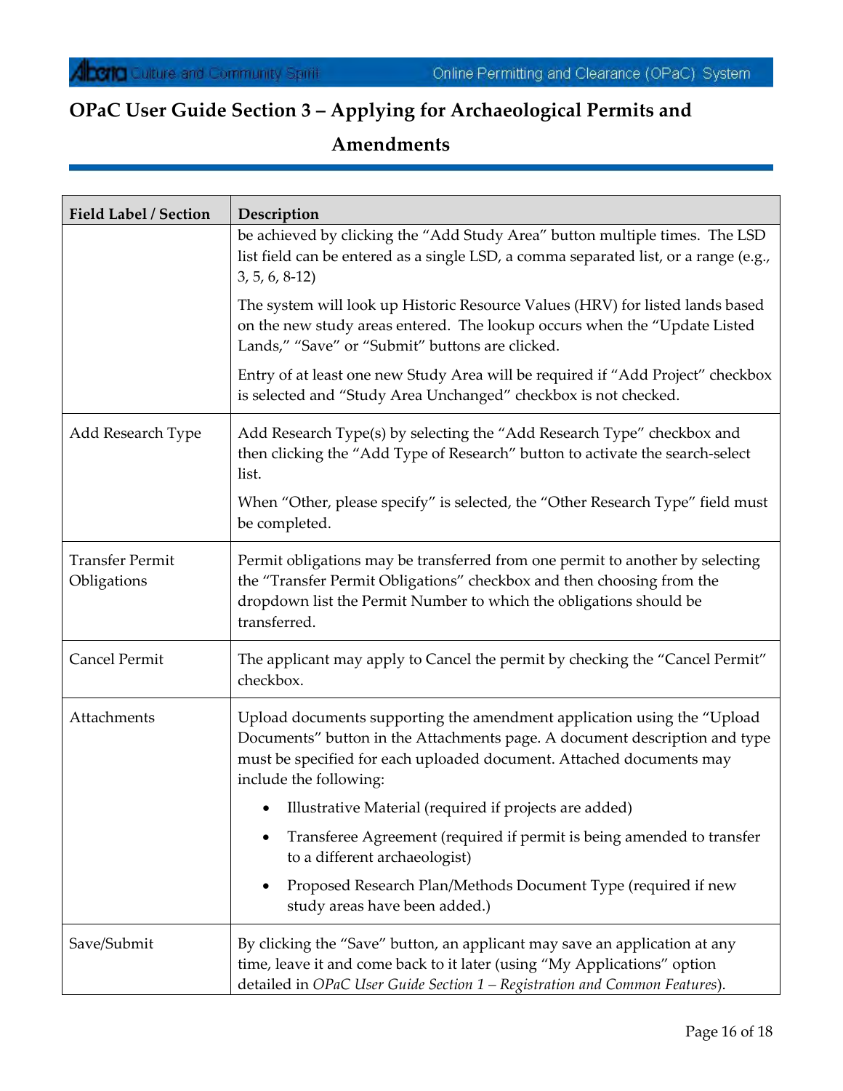| Field Label / Section                 | Description                                                                                                                                                                                                                                             |
|---------------------------------------|---------------------------------------------------------------------------------------------------------------------------------------------------------------------------------------------------------------------------------------------------------|
|                                       | be achieved by clicking the "Add Study Area" button multiple times. The LSD<br>list field can be entered as a single LSD, a comma separated list, or a range (e.g.,<br>$3, 5, 6, 8-12$                                                                  |
|                                       | The system will look up Historic Resource Values (HRV) for listed lands based<br>on the new study areas entered. The lookup occurs when the "Update Listed<br>Lands," "Save" or "Submit" buttons are clicked.                                           |
|                                       | Entry of at least one new Study Area will be required if "Add Project" checkbox<br>is selected and "Study Area Unchanged" checkbox is not checked.                                                                                                      |
| Add Research Type                     | Add Research Type(s) by selecting the "Add Research Type" checkbox and<br>then clicking the "Add Type of Research" button to activate the search-select<br>list.                                                                                        |
|                                       | When "Other, please specify" is selected, the "Other Research Type" field must<br>be completed.                                                                                                                                                         |
| <b>Transfer Permit</b><br>Obligations | Permit obligations may be transferred from one permit to another by selecting<br>the "Transfer Permit Obligations" checkbox and then choosing from the<br>dropdown list the Permit Number to which the obligations should be<br>transferred.            |
| Cancel Permit                         | The applicant may apply to Cancel the permit by checking the "Cancel Permit"<br>checkbox.                                                                                                                                                               |
| Attachments                           | Upload documents supporting the amendment application using the "Upload<br>Documents" button in the Attachments page. A document description and type<br>must be specified for each uploaded document. Attached documents may<br>include the following: |
|                                       | • Illustrative Material (required if projects are added)                                                                                                                                                                                                |
|                                       | Transferee Agreement (required if permit is being amended to transfer<br>to a different archaeologist)                                                                                                                                                  |
|                                       | Proposed Research Plan/Methods Document Type (required if new<br>study areas have been added.)                                                                                                                                                          |
| Save/Submit                           | By clicking the "Save" button, an applicant may save an application at any<br>time, leave it and come back to it later (using "My Applications" option<br>detailed in OPaC User Guide Section 1 - Registration and Common Features).                    |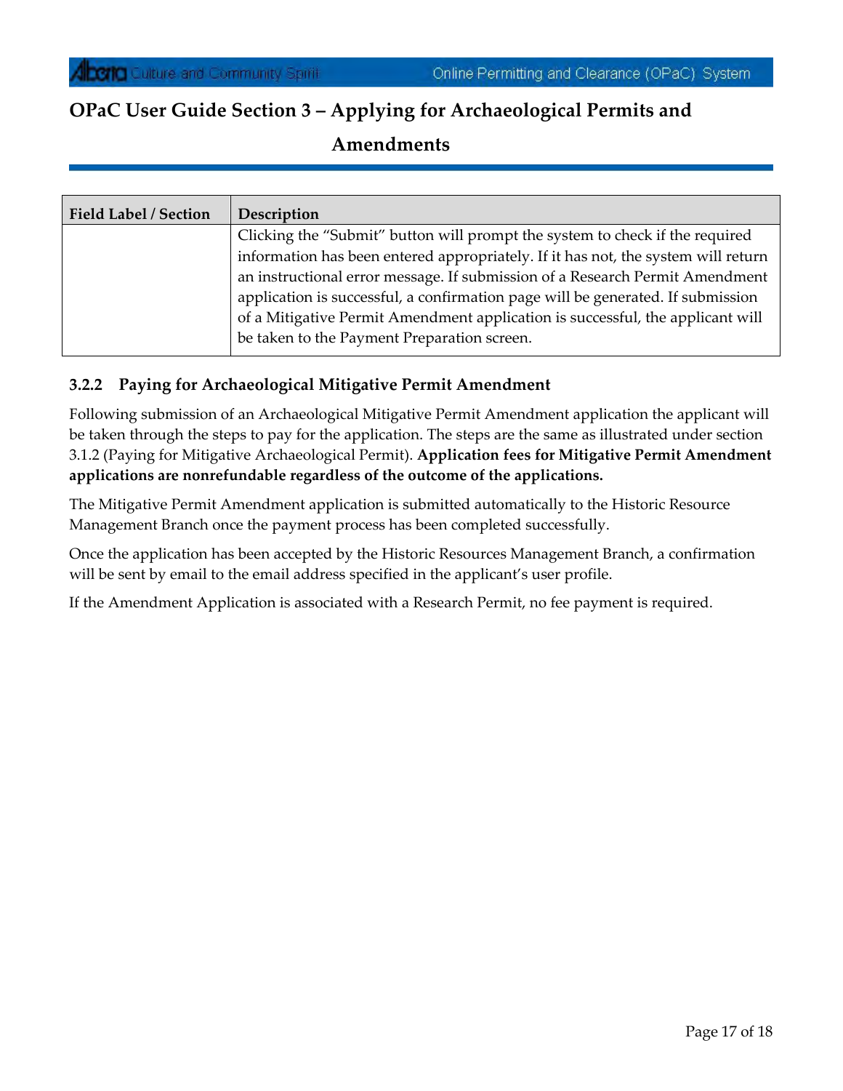| <b>Field Label / Section</b> | Description                                                                       |
|------------------------------|-----------------------------------------------------------------------------------|
|                              | Clicking the "Submit" button will prompt the system to check if the required      |
|                              | information has been entered appropriately. If it has not, the system will return |
|                              | an instructional error message. If submission of a Research Permit Amendment      |
|                              | application is successful, a confirmation page will be generated. If submission   |
|                              | of a Mitigative Permit Amendment application is successful, the applicant will    |
|                              | be taken to the Payment Preparation screen.                                       |
|                              |                                                                                   |

#### **3.2.2 Paying for Archaeological Mitigative Permit Amendment**

Following submission of an Archaeological Mitigative Permit Amendment application the applicant will be taken through the steps to pay for the application. The steps are the same as illustrated under section 3.1.2 (Paying for Mitigative Archaeological Permit). **Application fees for Mitigative Permit Amendment applications are nonrefundable regardless of the outcome of the applications.**

The Mitigative Permit Amendment application is submitted automatically to the Historic Resource Management Branch once the payment process has been completed successfully.

Once the application has been accepted by the Historic Resources Management Branch, a confirmation will be sent by email to the email address specified in the applicant's user profile.

If the Amendment Application is associated with a Research Permit, no fee payment is required.